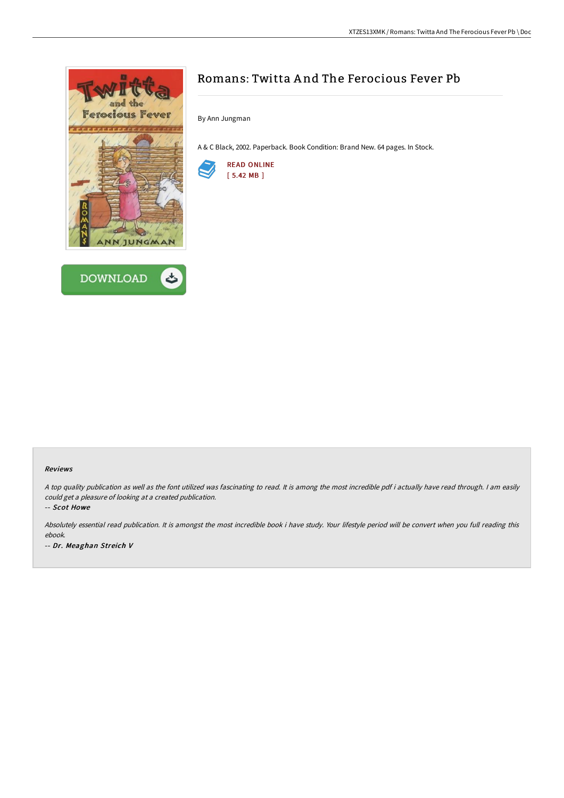



## Romans: Twitta A nd The Ferocious Fever Pb

By Ann Jungman

A & C Black, 2002. Paperback. Book Condition: Brand New. 64 pages. In Stock.



## Reviews

<sup>A</sup> top quality publication as well as the font utilized was fascinating to read. It is among the most incredible pdf i actually have read through. <sup>I</sup> am easily could get <sup>a</sup> pleasure of looking at <sup>a</sup> created publication.

-- Scot Howe

Absolutely essential read publication. It is amongst the most incredible book i have study. Your lifestyle period will be convert when you full reading this ebook. -- Dr. Meaghan Streich V